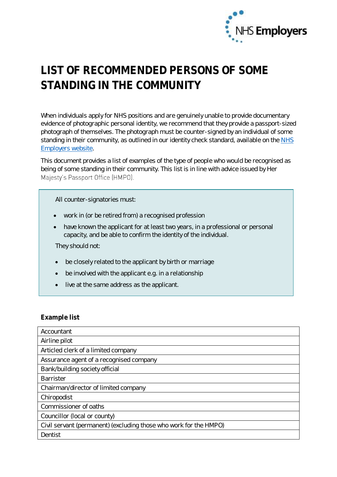

## **LIST OF RECOMMENDED PERSONS OF SOME STANDING IN THE COMMUNITY**

When individuals apply for NHS positions and are genuinely unable to provide documentary evidence of photographic personal identity, we recommend that they provide a passport-sized photograph of themselves. The photograph must be counter-signed by an individual of some standing in their community, as outlined in our identity check standard, available on the [NHS](http://www.nhsemployers.org/identitychecks)  [Employers website.](http://www.nhsemployers.org/identitychecks)

This document provides a list of examples of the type of people who would be recognised as being of some standing in their community. This list is in line with advice issued by Her Majesty's Passport Office (HMPO).

All counter-signatories must:

- work in (or be retired from) a recognised profession
- have known the applicant for at least two years, in a professional or personal capacity, and be able to confirm the identity of the individual.

They should not:

- be closely related to the applicant by birth or marriage
- be involved with the applicant e.g. in a relationship
- live at the same address as the applicant.

## **Example list**

| Accountant                                                        |
|-------------------------------------------------------------------|
| Airline pilot                                                     |
| Articled clerk of a limited company                               |
| Assurance agent of a recognised company                           |
| Bank/building society official                                    |
| <b>Barrister</b>                                                  |
| Chairman/director of limited company                              |
| Chiropodist                                                       |
| Commissioner of oaths                                             |
| Councillor (local or county)                                      |
| Civil servant (permanent) (excluding those who work for the HMPO) |
| Dentist                                                           |